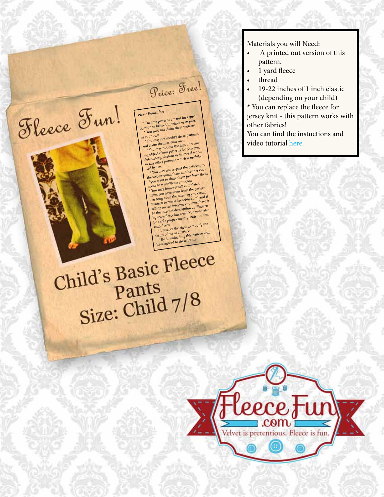

## ild's Basic<br>Pants<br>Size: Child 7/8

Child's Basic Fleece

Fleece Fun!

Please Remember:<br>\* The free patterns are not for repro-

Price: Free!

\* The free patterns are not for repro-<br>duction to be sold in whole or in part.<br>duction to be s<sub>at clai</sub>m these patterns

enon to be sold in whole or in part.<br>\* You may not claim these patterns

as your own.<br>\*You may not modify these patterns

\*You may not use the files or result-<br>and claim them as your own<br>\*You may not use the files or obscene,

ing objects from patterns for obscene, ing objects from patterns to<br>defamatory, libelous or immoral works<br>or any other purpose which is prohib-<br>ited by law.

the by law.<br>
\* You may not re-post the patterns to<br>
the web or email them another person -<br>
if you want to share them just have them<br>
if you want to share them into to you want to strate them just . You may however sell completed<br>tems you have sewn from the pattern<br>- as long as on the sales tag you credit items you have sewn from the pattern tems you have sewn from<br>the sales tag you credit<br>as long as on the sales tag you credit<br>"Pattern by www.fleecefun.com" and if<br>selling on the internet you must have it

elling on the internet<br>in the internet description as "Pattern<br>in the internet description". You must also<br>by www.fleecefun.com". With 3 or less

- 
- be a sole proprietorship with 3 or less

empolyees. polyees.<br>' I reserve the right to modify the

terms of use at anytime<br>
\*By downloading this pattern you<br>
these terms. by downloading this part

Materials you will Need:

- A printed out version of this pattern.
- 1 yard fleece
- thread
- 19-22 inches of 1 inch elastic

(depending on your child) \* You can replace the fleece for

jersey knit - this pattern works with other fabrics!

You can find the instuctions and video tutorial here.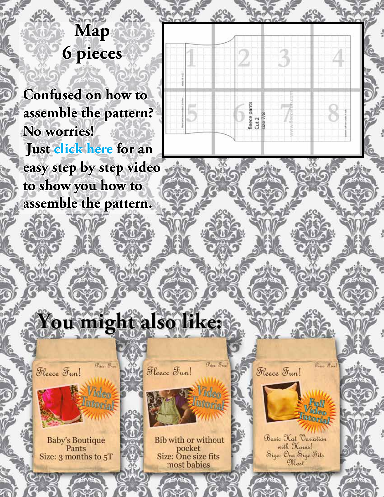## **Map 6 pieces**

**Confused on how to assemble the pattern? No worries! Just click here for an easy step by step video to show you how to assemble the pattern.**



## You might also like:

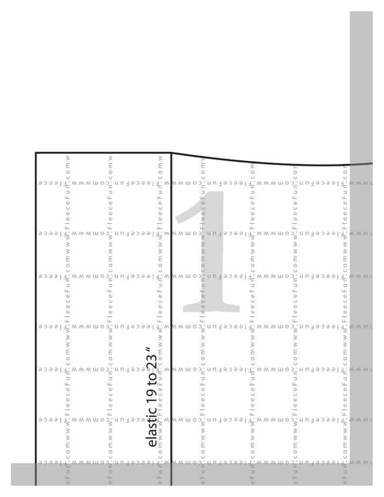|  |         | 9399            |  |  |  |            |  |  |  |  |  | $\frac{1}{2}$<br>$c \in F u$ |               |  |  | 七.www.moj.uu iaoaal f.www.moj.uu iaoaal f.www.moj.uu iaoaal f.www                                                                                                                                                                                                                                                                                                     |  |  |  |  |  |  |  | ∍ |  |  |  |   |  |                       |  |
|--|---------|-----------------|--|--|--|------------|--|--|--|--|--|------------------------------|---------------|--|--|-----------------------------------------------------------------------------------------------------------------------------------------------------------------------------------------------------------------------------------------------------------------------------------------------------------------------------------------------------------------------|--|--|--|--|--|--|--|---|--|--|--|---|--|-----------------------|--|
|  |         | 9.3.9.9<br>9099 |  |  |  |            |  |  |  |  |  | $\omega$<br>$\omega$         |               |  |  | $\frac{1}{2}$<br>$\frac{1}{2}$<br>$\frac{1}{2}$<br>$\frac{1}{2}$<br>$\frac{1}{2}$<br>$\frac{1}{2}$<br>$\frac{1}{2}$<br>$\frac{1}{2}$<br>$\frac{1}{2}$<br>$\frac{1}{2}$<br>$\frac{1}{2}$<br>$\frac{1}{2}$<br>$\frac{1}{2}$<br>$\frac{1}{2}$<br>$\frac{1}{2}$<br>$\frac{1}{2}$<br>$\frac{1}{2}$<br>$\frac{1}{2}$<br>$\frac{1}{2}$<br>$\frac{1}{2}$<br>                  |  |  |  |  |  |  |  |   |  |  |  |   |  | ちんwww.<br>$-90.00.00$ |  |
|  |         | 9399            |  |  |  |            |  |  |  |  |  | $\alpha$                     |               |  |  | $\sum_{n=1}^{\infty} a_n$<br>$\sum_{n=1}^{\infty} a_n$<br>$\sum_{n=1}^{\infty} a_n$<br>$\sum_{n=1}^{\infty} a_n$<br>$\sum_{n=1}^{\infty} a_n$<br>$\sum_{n=1}^{\infty} a_n$<br>$\sum_{n=1}^{\infty} a_n$<br>$\sum_{n=1}^{\infty} a_n$<br>$\sum_{n=1}^{\infty} a_n$<br>$\sum_{n=1}^{\infty} a_n$<br>$\sum_{n=1}^{\infty} a_n$<br>$\sum_{n=1}^{\infty} a_n$<br>$\sum_{n$ |  |  |  |  |  |  |  |   |  |  |  |   |  |                       |  |
|  |         | 9299            |  |  |  | ᇆᄊᄊᄊᄈᅌᄙᆞᆸᄞ |  |  |  |  |  |                              |               |  |  | $\sum_{i=1}^{n} \sum_{i=1}^{n} w_i w_i$                                                                                                                                                                                                                                                                                                                               |  |  |  |  |  |  |  |   |  |  |  |   |  |                       |  |
|  | ਰ ਤ ਰ ਰ |                 |  |  |  |            |  |  |  |  |  | Ó                            | <b>astlic</b> |  |  |                                                                                                                                                                                                                                                                                                                                                                       |  |  |  |  |  |  |  |   |  |  |  | š |  |                       |  |
|  |         |                 |  |  |  |            |  |  |  |  |  | čυ                           |               |  |  |                                                                                                                                                                                                                                                                                                                                                                       |  |  |  |  |  |  |  |   |  |  |  |   |  |                       |  |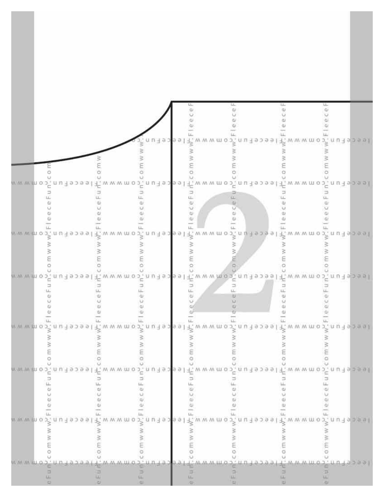|                            |                                | $\frac{\mu}{\mu}$<br>ē                                                                                                                                                                                                          | щ.<br>ψ                                                                                                          |
|----------------------------|--------------------------------|---------------------------------------------------------------------------------------------------------------------------------------------------------------------------------------------------------------------------------|------------------------------------------------------------------------------------------------------------------|
|                            | leeceFun<br>W W<br>ξ<br>o      | w w m<br>$\circ$                                                                                                                                                                                                                | <sub>7</sub> <sup>2</sup> w w w m o <sup>3</sup> n u 1 ∍ b s i 1 <sup>2</sup> w w w m o b î n u 1 s b s s l<br>ξ |
|                            | Ξ<br>LL.<br>e,<br>U.<br>ω<br>ω | ៷៷៷៳៰៰៹៓៱៲៴៲៲៰៰៰៰៲៲៛៝៷៷៷៳៳៰៹៓៱៲៲៸៲៲៰៰ <mark>៰</mark> ៰៲៲៛៝៷៷៷៳៳៰៰៓៱៲៲៲៲៰៰៰៰៲៲៛៝៷៷៷៳៳៰៰៓៱៲៲៲៲៰៰៰<br>o,<br>ü.<br>ΞĖ<br>Ψ<br>M<br>ω<br>¢į.<br>w<br>ω                                                                               | Ξ<br>ü.<br>w<br>α,<br>Φ                                                                                          |
|                            | ₹<br>s<br>ο                    | www.mosk.nutasasikkuww.mosk.nutasasikkuww.mosk.nutasasikkuww.mosk.nutasasi<br>₹<br>m w<br>Я.<br>៷ w w m o ɔˈ. n u ł ə ɔ ə ə l f v w w m o ɔˈ. n u ł ə ɔ ə ə l f v w w m o ɔ ̄. n u ł ə ɔ ə ə l f v w w m o ɔ ̄. n u ł ə ɔ ə ə l | β<br>O.<br>Ω                                                                                                     |
| e e c e L n u c o tu w w w | leeceFu                        | www.moj.nulepse                                                                                                                                                                                                                 | F. W. W. W. M. O. J. .<br>ひりょう                                                                                   |
|                            | 9399                           |                                                                                                                                                                                                                                 | W M 0 J *                                                                                                        |
| n w w m o >', n u          | ⊃'uu∃əp <mark>əəl</mark>       | $\frac{1}{2}$ in m m m o $\frac{1}{2}$ un                                                                                                                                                                                       | <sup>2</sup> , www.moวั.nu∃ร่วยัย                                                                                |
|                            |                                |                                                                                                                                                                                                                                 |                                                                                                                  |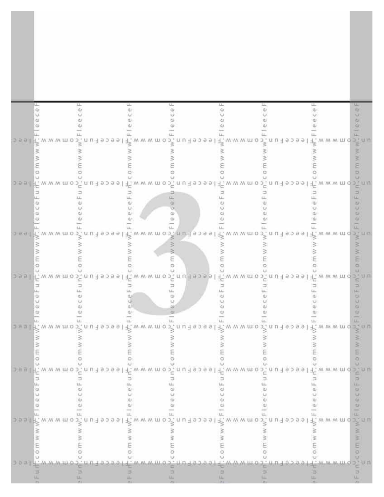| 山山<br>Φ | ğ,                            | e F<br>q)                                                                                                                            | ц.<br>i<br>F<br>Φ<br>C <sub>B</sub>                                                                                                          |
|---------|-------------------------------|--------------------------------------------------------------------------------------------------------------------------------------|----------------------------------------------------------------------------------------------------------------------------------------------|
|         |                               | ว ๑ ๑ l ่า้>็พ พ พ m ๐ ว่-็ n ม ฯ ๑ ว ๑ ๑ l i ้ -็ พ พ พ m ๐ ว่ . ๓ ม ฯ ๑ ว ๑ ๑ l i *๊ พ พ พ m ๐ ว่ . ๓ ม ฯ ๑ ว ๑ ๑ l i *๊ w พ พ m o | ω<br>ω<br>꾛                                                                                                                                  |
|         |                               | 3<br>⋚                                                                                                                               | š<br>s<br>E<br>ö                                                                                                                             |
|         | 头                             | ω<br>o<br>Φ                                                                                                                          | っㅎㅋ  片 w w w m o 가 n u i s > > ㅋ b l ギ w w w m o 가 n u i s > ㅋ b l ギ w w w m o 가. n u i s > ㅋ b l ギ w w w m o 가 n u<br>Ξ<br>щ<br>ω<br>u<br>ω |
|         |                               | ω<br>щ.                                                                                                                              | $rac{1}{2}$<br>щ<br>oesil fxwwwmo 3 nu 1 spael fxwwwmo 3 nu 1 spael fxwwwmo 3 nu 1 spael fxwwwmo 3 nu<br>$\geq$<br>š                         |
|         | щ                             | ε<br>O<br>⊐<br>ш                                                                                                                     | E<br>$\circ$<br>っөөl f www.mo.s nu t spaal f www.mo.s nu t spaal f www.mo.s nu t spaal f www.md.s nu<br>$\Rightarrow$<br>叫                   |
| 3 B D   |                               | Φ<br>O<br>ω<br>Ф                                                                                                                     | ш<br>Φ<br>ω                                                                                                                                  |
|         |                               |                                                                                                                                      | š<br>ö                                                                                                                                       |
|         | wwmop.nuteomww<br>M M M U O 2 | u n 4 9 3 9 9<br>WWW.M.O                                                                                                             | D. U. U.<br>19399<br>Þ                                                                                                                       |
|         |                               | $+9.399$                                                                                                                             | š                                                                                                                                            |
|         |                               |                                                                                                                                      |                                                                                                                                              |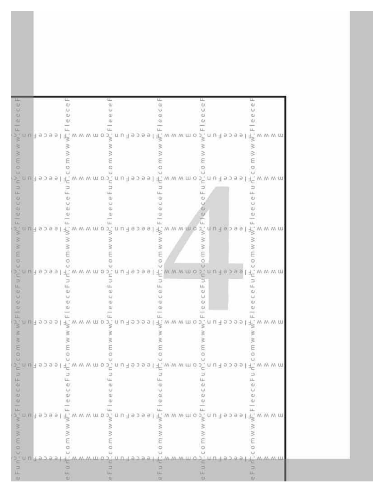| icelf<br>i tu           |          |  |          | 山山                                                                                                                                                                                                                  |  |  | éΕ              |  |  |  | ί.  |                                                       |  |  | Έ      |        |  |  |  | ب<br>ما       |  |  |  |
|-------------------------|----------|--|----------|---------------------------------------------------------------------------------------------------------------------------------------------------------------------------------------------------------------------|--|--|-----------------|--|--|--|-----|-------------------------------------------------------|--|--|--------|--------|--|--|--|---------------|--|--|--|
| otal                    |          |  |          |                                                                                                                                                                                                                     |  |  |                 |  |  |  |     |                                                       |  |  |        |        |  |  |  |               |  |  |  |
|                         |          |  |          |                                                                                                                                                                                                                     |  |  |                 |  |  |  |     |                                                       |  |  |        |        |  |  |  |               |  |  |  |
|                         |          |  |          | ⋚                                                                                                                                                                                                                   |  |  |                 |  |  |  | š   |                                                       |  |  |        | $\geq$ |  |  |  |               |  |  |  |
| om ww                   |          |  |          | Ю                                                                                                                                                                                                                   |  |  |                 |  |  |  |     |                                                       |  |  |        |        |  |  |  |               |  |  |  |
|                         |          |  |          |                                                                                                                                                                                                                     |  |  |                 |  |  |  |     |                                                       |  |  |        |        |  |  |  |               |  |  |  |
| ∍<br>$\frac{1}{2}$      |          |  |          |                                                                                                                                                                                                                     |  |  | u,              |  |  |  |     |                                                       |  |  | ĩ      |        |  |  |  |               |  |  |  |
| $\omega$                |          |  |          |                                                                                                                                                                                                                     |  |  |                 |  |  |  |     |                                                       |  |  |        |        |  |  |  |               |  |  |  |
| $\frac{1}{2}$<br>山      |          |  |          |                                                                                                                                                                                                                     |  |  | Φ<br>Ф          |  |  |  |     |                                                       |  |  | Φ<br>w |        |  |  |  |               |  |  |  |
| 13.                     |          |  |          | $\tilde{\mathcal{T}}_2 \cap \mathop{\mathrm{in}}\nolimits \exists \text{ some } 1 \leq \tilde{\mathcal{T}}_2 \text{ with } 0 \leq \tilde{\mathcal{T}}_1 \cap \mathop{\mathrm{in}}\nolimits \exists \text{ some } 1$ |  |  |                 |  |  |  |     | $\overrightarrow{r}$ www.mos <sup>2</sup> , nulleosal |  |  |        |        |  |  |  | 尖MMMW         |  |  |  |
|                         |          |  |          |                                                                                                                                                                                                                     |  |  |                 |  |  |  | š   |                                                       |  |  |        | W W    |  |  |  |               |  |  |  |
| o m w w                 |          |  |          |                                                                                                                                                                                                                     |  |  |                 |  |  |  | š   |                                                       |  |  |        | È      |  |  |  |               |  |  |  |
|                         |          |  |          |                                                                                                                                                                                                                     |  |  |                 |  |  |  |     |                                                       |  |  |        | o      |  |  |  |               |  |  |  |
| P                       |          |  |          | ) - n u 1 s > s s l 1 . w w w m o > . n u 1 s > s s l 1 . w w w m o > . n u 1 s > s s l                                                                                                                             |  |  |                 |  |  |  |     |                                                       |  |  |        |        |  |  |  | 土 M M M W     |  |  |  |
| $\frac{\omega}{\omega}$ |          |  |          |                                                                                                                                                                                                                     |  |  |                 |  |  |  |     |                                                       |  |  |        | ω      |  |  |  |               |  |  |  |
| $\frac{c}{2}$           |          |  |          |                                                                                                                                                                                                                     |  |  |                 |  |  |  |     |                                                       |  |  |        |        |  |  |  |               |  |  |  |
| ß,                      |          |  |          |                                                                                                                                                                                                                     |  |  |                 |  |  |  |     |                                                       |  |  |        |        |  |  |  |               |  |  |  |
|                         |          |  |          | デ, n u i 9 p 9 9 l i <sup>2</sup> . w w w m o i , n u i 9 p 9 9 l i <sup>3</sup> . w w w m o i , n u i 9 p 9 9 l i <sup>3</sup> . w w w m                                                                           |  |  |                 |  |  |  |     |                                                       |  |  |        |        |  |  |  |               |  |  |  |
|                         |          |  |          |                                                                                                                                                                                                                     |  |  |                 |  |  |  |     |                                                       |  |  |        |        |  |  |  |               |  |  |  |
|                         |          |  |          |                                                                                                                                                                                                                     |  |  |                 |  |  |  |     |                                                       |  |  |        |        |  |  |  |               |  |  |  |
| 꾑                       |          |  |          | nulabaalin, www.mob.nulabaalin.www.mob.nulabaal                                                                                                                                                                     |  |  |                 |  |  |  |     |                                                       |  |  |        |        |  |  |  | <b>I'MMMU</b> |  |  |  |
| P<br>ц.                 |          |  |          |                                                                                                                                                                                                                     |  |  |                 |  |  |  |     |                                                       |  |  |        |        |  |  |  |               |  |  |  |
| GI.<br>Φ                |          |  |          |                                                                                                                                                                                                                     |  |  |                 |  |  |  |     |                                                       |  |  |        |        |  |  |  |               |  |  |  |
| i qu                    |          |  |          |                                                                                                                                                                                                                     |  |  |                 |  |  |  |     |                                                       |  |  |        |        |  |  |  |               |  |  |  |
| ц.<br>$\frac{3}{8}$     |          |  | nulassel | → wwwmo>, nu tapaal → wwwmo>, nu tabaal                                                                                                                                                                             |  |  |                 |  |  |  |     |                                                       |  |  |        |        |  |  |  | t www.m       |  |  |  |
|                         |          |  |          |                                                                                                                                                                                                                     |  |  |                 |  |  |  |     |                                                       |  |  |        |        |  |  |  |               |  |  |  |
| 0 m w w                 |          |  |          |                                                                                                                                                                                                                     |  |  |                 |  |  |  |     |                                                       |  |  |        |        |  |  |  |               |  |  |  |
|                         |          |  |          |                                                                                                                                                                                                                     |  |  |                 |  |  |  |     |                                                       |  |  |        |        |  |  |  |               |  |  |  |
| Fu                      | ຈະ ແ ກ່ະ |  |          |                                                                                                                                                                                                                     |  |  | možnuispas<br>Ξ |  |  |  |     |                                                       |  |  |        |        |  |  |  |               |  |  |  |
| 中                       |          |  |          | u,<br>(L)                                                                                                                                                                                                           |  |  | w               |  |  |  | (1) |                                                       |  |  | 피      | 嘶      |  |  |  | u.<br>Ш.      |  |  |  |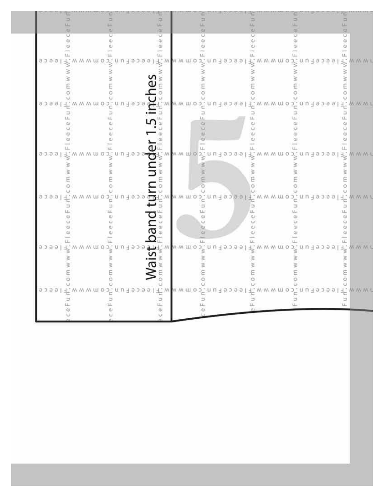| Ŵ                       | U.<br>ű)                   | щ.<br>GT.<br><b>GU</b><br>u<br>$\mathbb{Q}$<br>Ф                                                                                                                                                                                                                                                                                                                                      | AD.<br>υ<br>¢<br>Φ                                                 |
|-------------------------|----------------------------|---------------------------------------------------------------------------------------------------------------------------------------------------------------------------------------------------------------------------------------------------------------------------------------------------------------------------------------------------------------------------------------|--------------------------------------------------------------------|
| ω<br>азаа               | ш<br>M M W O<br>19098<br>₿ | $\omega$<br>ω<br>$\begin{array}{c} \widehat{\mathbb{H}} \\ \downarrow \vdots \\ \downarrow \end{array}$<br>19299<br>M. W. M. O<br>3                                                                                                                                                                                                                                                   | ω<br>M W W M O<br>uп.<br>4. 라고 급 균                                 |
|                         | O<br>M M W O<br>1939       | o m w w<br>U.<br>$E$ wwwmo<br>eeceruu                                                                                                                                                                                                                                                                                                                                                 | M M M W O<br>peceFun.c                                             |
| ω<br>9299               | M W W TH O<br>1933<br>š    | ŵ<br>ai.<br>œ<br>щ.<br>$\geq$ $\sim$ $\sim$ $\sim$ $\sim$<br>190991<br>w w                                                                                                                                                                                                                                                                                                            | ü<br>ω<br>щ<br>$\overrightarrow{P}$ www.mob.inuitedel              |
| O<br>араа               | O<br>wwmo<br>υ             | r o c<br>o<br>$\frac{1}{2}$ and $\sum_{i=1}^{n}$ is a $\sum_{i=1}^{n}$ where $\sum_{i=1}^{n}$<br>eecelcu                                                                                                                                                                                                                                                                              | O<br>wwwmopfnufebeal                                               |
| a.<br>8 J 8 Y           | αı<br>ω<br>īēd<br>W W M O  | ω<br>$q_I$<br>$\alpha$<br>$\begin{picture}(180,10) \put(0,0){\line(1,0){10}} \put(10,0){\line(1,0){10}} \put(10,0){\line(1,0){10}} \put(10,0){\line(1,0){10}} \put(10,0){\line(1,0){10}} \put(10,0){\line(1,0){10}} \put(10,0){\line(1,0){10}} \put(10,0){\line(1,0){10}} \put(10,0){\line(1,0){10}} \put(10,0){\line(1,0){10}} \put(10,0){\line(1,0){10}} \put(10,0){\line($<br>3088 | ω<br>$\begin{array}{c} W \ W \ W \ W \ \hline \end{array}$<br>9399 |
| O<br>9 J <del>3</del> 9 | o<br>7 m m u o j           | c<br>nulabasif www.mo5.nu<br><b>ReceF</b><br>щ<br>¢J.                                                                                                                                                                                                                                                                                                                                 | ۰<br>www.mop.nutabes<br>э<br>ш<br>LL.                              |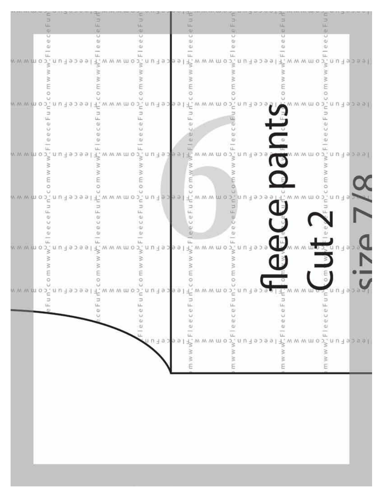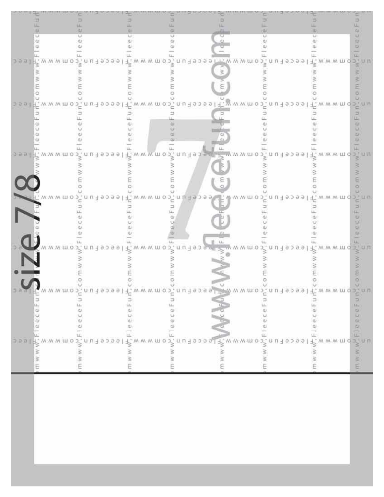|                                                                                                                                                              |                             |              |                                                                                                                                                                                                                                                                                              |                           | fU.<br>ш                                                                                                                                                                                                                                                                                                                                                                                                                                                                                                                                                                                                                                                                            |
|--------------------------------------------------------------------------------------------------------------------------------------------------------------|-----------------------------|--------------|----------------------------------------------------------------------------------------------------------------------------------------------------------------------------------------------------------------------------------------------------------------------------------------------|---------------------------|-------------------------------------------------------------------------------------------------------------------------------------------------------------------------------------------------------------------------------------------------------------------------------------------------------------------------------------------------------------------------------------------------------------------------------------------------------------------------------------------------------------------------------------------------------------------------------------------------------------------------------------------------------------------------------------|
|                                                                                                                                                              |                             |              |                                                                                                                                                                                                                                                                                              |                           |                                                                                                                                                                                                                                                                                                                                                                                                                                                                                                                                                                                                                                                                                     |
|                                                                                                                                                              |                             |              | 190991                                                                                                                                                                                                                                                                                       | M M M UL                  |                                                                                                                                                                                                                                                                                                                                                                                                                                                                                                                                                                                                                                                                                     |
|                                                                                                                                                              |                             |              |                                                                                                                                                                                                                                                                                              |                           |                                                                                                                                                                                                                                                                                                                                                                                                                                                                                                                                                                                                                                                                                     |
|                                                                                                                                                              |                             |              |                                                                                                                                                                                                                                                                                              |                           |                                                                                                                                                                                                                                                                                                                                                                                                                                                                                                                                                                                                                                                                                     |
|                                                                                                                                                              |                             |              |                                                                                                                                                                                                                                                                                              |                           | O.                                                                                                                                                                                                                                                                                                                                                                                                                                                                                                                                                                                                                                                                                  |
|                                                                                                                                                              |                             |              |                                                                                                                                                                                                                                                                                              |                           |                                                                                                                                                                                                                                                                                                                                                                                                                                                                                                                                                                                                                                                                                     |
|                                                                                                                                                              | 1 U -1 9 J 9 9 1            | WWWMD0       | nuiseself.                                                                                                                                                                                                                                                                                   | M M M W O<br>$.001-9.099$ |                                                                                                                                                                                                                                                                                                                                                                                                                                                                                                                                                                                                                                                                                     |
|                                                                                                                                                              |                             |              |                                                                                                                                                                                                                                                                                              |                           | ⇒                                                                                                                                                                                                                                                                                                                                                                                                                                                                                                                                                                                                                                                                                   |
|                                                                                                                                                              |                             |              |                                                                                                                                                                                                                                                                                              |                           | w                                                                                                                                                                                                                                                                                                                                                                                                                                                                                                                                                                                                                                                                                   |
|                                                                                                                                                              |                             |              |                                                                                                                                                                                                                                                                                              |                           | ω<br>ш.                                                                                                                                                                                                                                                                                                                                                                                                                                                                                                                                                                                                                                                                             |
|                                                                                                                                                              |                             |              |                                                                                                                                                                                                                                                                                              |                           |                                                                                                                                                                                                                                                                                                                                                                                                                                                                                                                                                                                                                                                                                     |
|                                                                                                                                                              | м м м ш о э́п и ∃ в э в в і |              | www.mop.nuispae                                                                                                                                                                                                                                                                              | TW W. W. U.L. O. D<br>а   | 399<br>M M M                                                                                                                                                                                                                                                                                                                                                                                                                                                                                                                                                                                                                                                                        |
|                                                                                                                                                              |                             |              |                                                                                                                                                                                                                                                                                              |                           | 3                                                                                                                                                                                                                                                                                                                                                                                                                                                                                                                                                                                                                                                                                   |
|                                                                                                                                                              |                             |              |                                                                                                                                                                                                                                                                                              |                           |                                                                                                                                                                                                                                                                                                                                                                                                                                                                                                                                                                                                                                                                                     |
|                                                                                                                                                              |                             |              |                                                                                                                                                                                                                                                                                              |                           | F<br>o                                                                                                                                                                                                                                                                                                                                                                                                                                                                                                                                                                                                                                                                              |
|                                                                                                                                                              |                             |              |                                                                                                                                                                                                                                                                                              |                           |                                                                                                                                                                                                                                                                                                                                                                                                                                                                                                                                                                                                                                                                                     |
| EH, ' M M M U O                                                                                                                                              | 9.399                       |              | 1149099                                                                                                                                                                                                                                                                                      |                           | ы                                                                                                                                                                                                                                                                                                                                                                                                                                                                                                                                                                                                                                                                                   |
|                                                                                                                                                              |                             |              |                                                                                                                                                                                                                                                                                              |                           |                                                                                                                                                                                                                                                                                                                                                                                                                                                                                                                                                                                                                                                                                     |
|                                                                                                                                                              |                             |              |                                                                                                                                                                                                                                                                                              |                           |                                                                                                                                                                                                                                                                                                                                                                                                                                                                                                                                                                                                                                                                                     |
|                                                                                                                                                              |                             |              |                                                                                                                                                                                                                                                                                              |                           | W.                                                                                                                                                                                                                                                                                                                                                                                                                                                                                                                                                                                                                                                                                  |
|                                                                                                                                                              |                             |              |                                                                                                                                                                                                                                                                                              |                           |                                                                                                                                                                                                                                                                                                                                                                                                                                                                                                                                                                                                                                                                                     |
| MMMWW03                                                                                                                                                      | 9.0.9.9                     | M W W M DJ 0 | 49000                                                                                                                                                                                                                                                                                        | MMWO.<br>u n -1 9 2 9 9   | M.M.M.UJ.O                                                                                                                                                                                                                                                                                                                                                                                                                                                                                                                                                                                                                                                                          |
|                                                                                                                                                              |                             |              |                                                                                                                                                                                                                                                                                              |                           | š                                                                                                                                                                                                                                                                                                                                                                                                                                                                                                                                                                                                                                                                                   |
|                                                                                                                                                              |                             |              |                                                                                                                                                                                                                                                                                              |                           |                                                                                                                                                                                                                                                                                                                                                                                                                                                                                                                                                                                                                                                                                     |
|                                                                                                                                                              |                             |              |                                                                                                                                                                                                                                                                                              |                           | o                                                                                                                                                                                                                                                                                                                                                                                                                                                                                                                                                                                                                                                                                   |
|                                                                                                                                                              |                             |              |                                                                                                                                                                                                                                                                                              |                           |                                                                                                                                                                                                                                                                                                                                                                                                                                                                                                                                                                                                                                                                                     |
| üñ                                                                                                                                                           |                             |              |                                                                                                                                                                                                                                                                                              |                           |                                                                                                                                                                                                                                                                                                                                                                                                                                                                                                                                                                                                                                                                                     |
|                                                                                                                                                              |                             |              |                                                                                                                                                                                                                                                                                              |                           | eFun                                                                                                                                                                                                                                                                                                                                                                                                                                                                                                                                                                                                                                                                                |
| ece                                                                                                                                                          | ceFu                        | Ú            |                                                                                                                                                                                                                                                                                              |                           | $Ce + U$<br>$\overline{\omega}$                                                                                                                                                                                                                                                                                                                                                                                                                                                                                                                                                                                                                                                     |
|                                                                                                                                                              | $\omega$                    | ω            |                                                                                                                                                                                                                                                                                              |                           | gn.                                                                                                                                                                                                                                                                                                                                                                                                                                                                                                                                                                                                                                                                                 |
| ¢                                                                                                                                                            | ψ                           | Q)           |                                                                                                                                                                                                                                                                                              |                           |                                                                                                                                                                                                                                                                                                                                                                                                                                                                                                                                                                                                                                                                                     |
|                                                                                                                                                              |                             | O            |                                                                                                                                                                                                                                                                                              |                           |                                                                                                                                                                                                                                                                                                                                                                                                                                                                                                                                                                                                                                                                                     |
|                                                                                                                                                              |                             |              |                                                                                                                                                                                                                                                                                              |                           |                                                                                                                                                                                                                                                                                                                                                                                                                                                                                                                                                                                                                                                                                     |
| $\begin{array}{rcl}\n & \times & \times & \times \\  & \times & \times & \times \\  & \times & \times & \times \\  & \times & \times & \times\n \end{array}$ |                             |              |                                                                                                                                                                                                                                                                                              |                           | $\frac{1}{2} \sum_{i=1}^{n} \frac{1}{2} \sum_{i=1}^{n} \frac{1}{2} \sum_{i=1}^{n} \frac{1}{2} \sum_{i=1}^{n} \frac{1}{2} \sum_{i=1}^{n} \frac{1}{2} \sum_{i=1}^{n} \frac{1}{2} \sum_{i=1}^{n} \frac{1}{2} \sum_{i=1}^{n} \frac{1}{2} \sum_{i=1}^{n} \frac{1}{2} \sum_{i=1}^{n} \frac{1}{2} \sum_{i=1}^{n} \frac{1}{2} \sum_{i=1}^{n} \frac{1}{2} \sum_{i=1}^{n$<br>$x = 1$<br>$x = 1$<br>$x = 2$<br>$x = 3$<br>$x = 1$<br>$x = 1$<br>$x = 1$<br>$x = 1$<br>$x = 2$<br>$x = 1$<br>$x = 2$<br>$x = 3$<br>$x = 1$<br>$x = 1$<br>$x = 2$<br>$x = 1$<br>$x = 1$<br>$x = 2$<br>$x = 1$<br>$x = 2$<br>$x = 1$<br>$x = 1$<br>$x = 1$<br>$x = 1$<br>$x = 1$<br>$x = 2$<br>$x = 1$<br>$x = 1$ |
|                                                                                                                                                              |                             |              |                                                                                                                                                                                                                                                                                              |                           |                                                                                                                                                                                                                                                                                                                                                                                                                                                                                                                                                                                                                                                                                     |
|                                                                                                                                                              |                             |              | $3.4$<br>$3.4$<br>$3.4$<br>$4.4$<br>$5.4$<br>$6.4$<br>$7.4$<br>$8.4$<br>$9.4$<br>$1.4$<br>$1.4$<br>$1.4$<br>$1.4$<br>$1.4$<br>$1.4$<br>$1.4$<br>$1.4$<br>$1.4$<br>$1.4$<br>$1.4$<br>$1.4$<br>$1.4$<br>$1.4$<br>$1.4$<br>$1.4$<br>$1.4$<br>$1.4$<br>$1.4$<br>$1.4$<br>$1.4$<br>$1.4$<br>$1.4$ |                           |                                                                                                                                                                                                                                                                                                                                                                                                                                                                                                                                                                                                                                                                                     |
|                                                                                                                                                              |                             |              |                                                                                                                                                                                                                                                                                              |                           |                                                                                                                                                                                                                                                                                                                                                                                                                                                                                                                                                                                                                                                                                     |
|                                                                                                                                                              |                             |              |                                                                                                                                                                                                                                                                                              |                           |                                                                                                                                                                                                                                                                                                                                                                                                                                                                                                                                                                                                                                                                                     |
|                                                                                                                                                              |                             |              |                                                                                                                                                                                                                                                                                              |                           |                                                                                                                                                                                                                                                                                                                                                                                                                                                                                                                                                                                                                                                                                     |
|                                                                                                                                                              |                             |              |                                                                                                                                                                                                                                                                                              |                           |                                                                                                                                                                                                                                                                                                                                                                                                                                                                                                                                                                                                                                                                                     |
|                                                                                                                                                              |                             |              |                                                                                                                                                                                                                                                                                              |                           |                                                                                                                                                                                                                                                                                                                                                                                                                                                                                                                                                                                                                                                                                     |
|                                                                                                                                                              |                             |              |                                                                                                                                                                                                                                                                                              |                           |                                                                                                                                                                                                                                                                                                                                                                                                                                                                                                                                                                                                                                                                                     |
|                                                                                                                                                              |                             |              |                                                                                                                                                                                                                                                                                              |                           |                                                                                                                                                                                                                                                                                                                                                                                                                                                                                                                                                                                                                                                                                     |
|                                                                                                                                                              |                             |              |                                                                                                                                                                                                                                                                                              |                           |                                                                                                                                                                                                                                                                                                                                                                                                                                                                                                                                                                                                                                                                                     |
|                                                                                                                                                              |                             |              |                                                                                                                                                                                                                                                                                              |                           |                                                                                                                                                                                                                                                                                                                                                                                                                                                                                                                                                                                                                                                                                     |
|                                                                                                                                                              |                             |              |                                                                                                                                                                                                                                                                                              |                           |                                                                                                                                                                                                                                                                                                                                                                                                                                                                                                                                                                                                                                                                                     |
|                                                                                                                                                              |                             |              |                                                                                                                                                                                                                                                                                              |                           |                                                                                                                                                                                                                                                                                                                                                                                                                                                                                                                                                                                                                                                                                     |